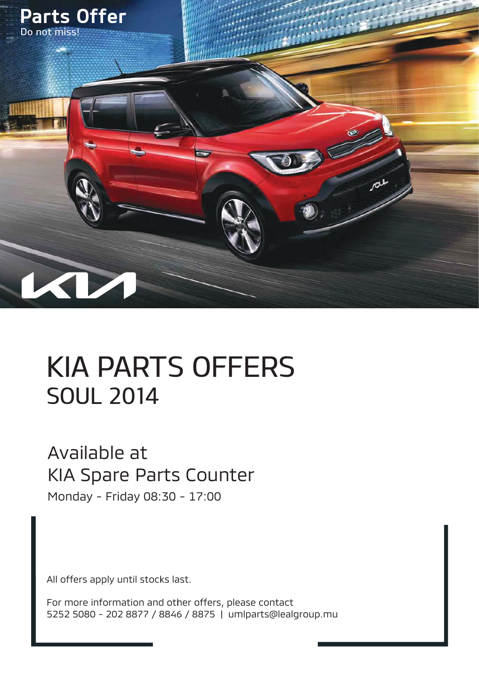

# KIA PARTS OFFERS SOUL 2014

#### Available at KIA Spare Parts Counter

Monday - Friday 08:30 - 17:00

All offers apply until stocks last.

For more information and other offers, please contact 5252 5080 - 202 8877 / 8846 / 8875 | umlparts@lealgroup.mu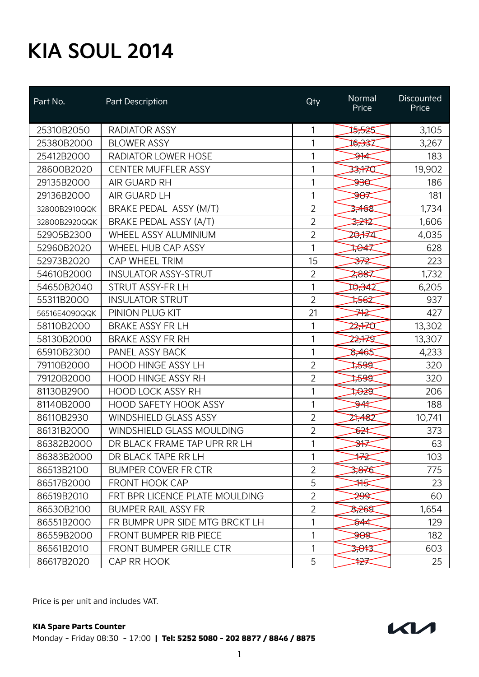| Part No.      | Part Description                 | Qty            | Normal<br>Price | Discounted<br>Price |
|---------------|----------------------------------|----------------|-----------------|---------------------|
| 25310B2050    | <b>RADIATOR ASSY</b>             | 1              | 15,525          | 3,105               |
| 25380B2000    | <b>BLOWER ASSY</b>               | 1              | 16,337          | 3,267               |
| 25412B2000    | RADIATOR LOWER HOSE              | 1              | <del>D1</del> ⊄ | 183                 |
| 28600B2020    | <b>CENTER MUFFLER ASSY</b>       | 1              | 33,770          | 19,902              |
| 29135B2000    | <b>AIR GUARD RH</b>              | 1              | $\frac{1}{2}$   | 186                 |
| 29136B2000    | AIR GUARD LH                     | 1              | <del>90</del> ≢ | 181                 |
| 32800B2910QQK | BRAKE PEDAL ASSY (M/T)           | $\overline{2}$ | 3,468           | 1,734               |
| 32800B2920QQK | BRAKE PEDAL ASSY (A/T)           | $\overline{2}$ | 3,242           | 1,606               |
| 52905B2300    | WHEEL ASSY ALUMINIUM             | $\overline{2}$ | 20,174          | 4,035               |
| 52960B2020    | <b>WHEEL HUB CAP ASSY</b>        | 1              | 1,847           | 628                 |
| 52973B2020    | CAP WHEEL TRIM                   | 15             | <del>₩</del>    | 223                 |
| 54610B2000    | <b>INSULATOR ASSY-STRUT</b>      | 2              | 2,887           | 1,732               |
| 54650B2040    | STRUT ASSY-FR LH                 | 1              | 10,342          | 6,205               |
| 55311B2000    | <b>INSULATOR STRUT</b>           | $\overline{2}$ | ‡क्ट            | 937                 |
| 56516E4090QQK | PINION PLUG KIT                  | 21             | ⋙               | 427                 |
| 58110B2000    | <b>BRAKE ASSY FR LH</b>          | 1              | 22,770          | 13,302              |
| 58130B2000    | <b>BRAKE ASSY FR RH</b>          | 1              | 22.75           | 13,307              |
| 65910B2300    | PANEL ASSY BACK                  | 1              | 8,465           | 4,233               |
| 79110B2000    | <b>HOOD HINGE ASSY LH</b>        | $\overline{2}$ | ≫क्ष            | 320                 |
| 79120B2000    | <b>HOOD HINGE ASSY RH</b>        | $\overline{2}$ | ≫ेख             | 320                 |
| 81130B2900    | <b>HOOD LOCK ASSY RH</b>         | 1              | स्क्षि          | 206                 |
| 81140B2000    | <b>HOOD SAFETY HOOK ASSY</b>     | 1              | <del>≫4</del>   | 188                 |
| 86110B2930    | <b>WINDSHIELD GLASS ASSY</b>     | $\overline{2}$ | 27,482          | 10,741              |
| 86131B2000    | <b>WINDSHIELD GLASS MOULDING</b> | $\overline{2}$ | <del>ঠ2া</del>  | 373                 |
| 86382B2000    | DR BLACK FRAME TAP UPR RR LH     | 1              | <del>౫</del>    | 63                  |
| 86383B2000    | DR BLACK TAPE RR LH              | 1              | ₩               | 103                 |
| 86513B2100    | <b>BUMPER COVER FR CTR</b>       | $\overline{2}$ | 3,876           | 775                 |
| 86517B2000    | <b>FRONT HOOK CAP</b>            | 5              | ₩               | 23                  |
| 86519B2010    | FRT BPR LICENCE PLATE MOULDING   | $\overline{2}$ | <del>299</del>  | 60                  |
| 86530B2100    | <b>BUMPER RAIL ASSY FR</b>       | $\overline{2}$ | 2,269           | 1,654               |
| 86551B2000    | FR BUMPR UPR SIDE MTG BRCKT LH   | 1              | ₿44             | 129                 |
| 86559B2000    | <b>FRONT BUMPER RIB PIECE</b>    | 1              | <del>doa</del>  | 182                 |
| 86561B2010    | FRONT BUMPER GRILLE CTR          | 1              | 2,043           | 603                 |
| 86617B2020    | CAP RR HOOK                      | 5              | <sub>≯</sub>    | 25                  |

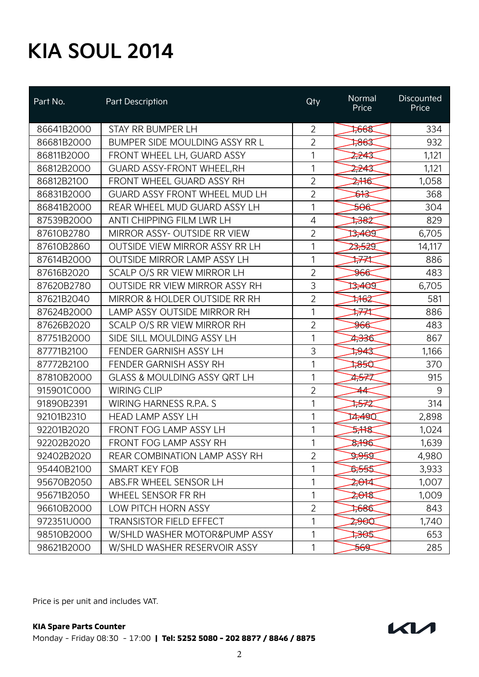| Part No.   | Part Description                        | Qty            | Normal<br>Price | <b>Discounted</b><br>Price |
|------------|-----------------------------------------|----------------|-----------------|----------------------------|
| 86641B2000 | STAY RR BUMPER LH                       | $\overline{2}$ | 7668            | 334                        |
| 86681B2000 | BUMPER SIDE MOULDING ASSY RR L          | $\overline{2}$ | ‡86इ            | 932                        |
| 86811B2000 | FRONT WHEEL LH, GUARD ASSY              | 1              | 2,243           | 1,121                      |
| 86812B2000 | <b>GUARD ASSY-FRONT WHEEL, RH</b>       | 1              | 2,243           | 1,121                      |
| 86812B2100 | FRONT WHEEL GUARD ASSY RH               | $\overline{2}$ | 2776            | 1,058                      |
| 86831B2000 | <b>GUARD ASSY FRONT WHEEL MUD LH</b>    | $\overline{2}$ | ষ্ট             | 368                        |
| 86841B2000 | REAR WHEEL MUD GUARD ASSY LH            | 1              | <del>506</del>  | 304                        |
| 87539B2000 | ANTI CHIPPING FILM LWR LH               | 4              | ⊅‱              | 829                        |
| 87610B2780 | MIRROR ASSY- OUTSIDE RR VIEW            | $\overline{2}$ | 13,400          | 6,705                      |
| 87610B2860 | <b>OUTSIDE VIEW MIRROR ASSY RR LH</b>   | 1              | 23,529          | 14,117                     |
| 87614B2000 | <b>OUTSIDE MIRROR LAMP ASSY LH</b>      | 1              | 1774            | 886                        |
| 87616B2020 | SCALP O/S RR VIEW MIRROR LH             | $\overline{2}$ | <del>966</del>  | 483                        |
| 87620B2780 | OUTSIDE RR VIEW MIRROR ASSY RH          | 3              | 13,400          | 6,705                      |
| 87621B2040 | MIRROR & HOLDER OUTSIDE RR RH           | $\overline{2}$ | ≭€ट             | 581                        |
| 87624B2000 | LAMP ASSY OUTSIDE MIRROR RH             | 1              | ₩₩              | 886                        |
| 87626B2020 | SCALP O/S RR VIEW MIRROR RH             | $\overline{2}$ | <del>966</del>  | 483                        |
| 87751B2000 | SIDE SILL MOULDING ASSY LH              | 1              | 4,336           | 867                        |
| 87771B2100 | FENDER GARNISH ASSY LH                  | 3              | ≫¥इ             | 1,166                      |
| 87772B2100 | FENDER GARNISH ASSY RH                  | 1              | 7850            | 370                        |
| 87810B2000 | <b>GLASS &amp; MOULDING ASSY QRT LH</b> | 1              | 4577            | 915                        |
| 915901C000 | <b>WIRING CLIP</b>                      | $\overline{2}$ | 44              | 9                          |
| 91890B2391 | WIRING HARNESS R.P.A. S                 | 1              | ‡ਨ≠2            | 314                        |
| 92101B2310 | <b>HEAD LAMP ASSY LH</b>                | 1              | 14,490          | 2,898                      |
| 92201B2020 | FRONT FOG LAMP ASSY LH                  | 1              | ⊅¥€             | 1,024                      |
| 92202B2020 | <b>FRONT FOG LAMP ASSY RH</b>           | 1              | \$796           | 1,639                      |
| 92402B2020 | REAR COMBINATION LAMP ASSY RH           | 2              | केश्वे          | 4,980                      |
| 95440B2100 | SMART KEY FOB                           |                | <b>D,555</b>    | 3,933                      |
| 95670B2050 | ABS.FR WHEEL SENSOR LH                  | 1              | 2,014           | 1,007                      |
| 95671B2050 | WHEEL SENSOR FR RH                      | 1              | 2,018           | 1,009                      |
| 96610B2000 | LOW PITCH HORN ASSY                     | $\overline{2}$ | 7686            | 843                        |
| 972351U000 | <b>TRANSISTOR FIELD EFFECT</b>          | 1              | 2,900           | 1,740                      |
| 98510B2000 | W/SHLD WASHER MOTOR&PUMP ASSY           | 1              | स्रिस           | 653                        |
| 98621B2000 | W/SHLD WASHER RESERVOIR ASSY            | 1              | <del>202</del>  | 285                        |

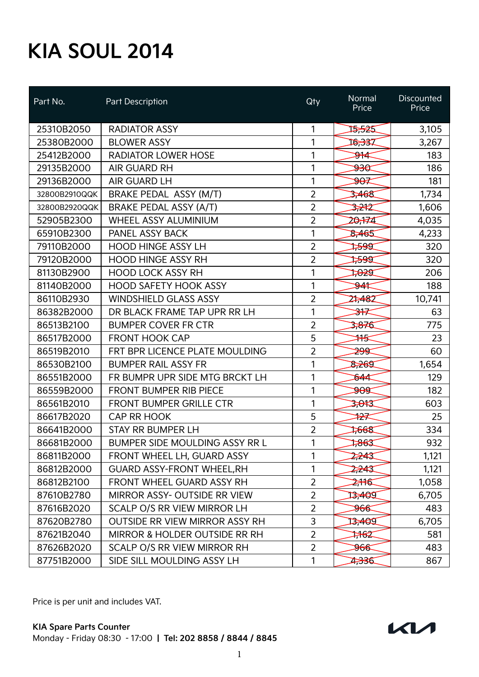| Part No.      | Part Description                      | Qty            | Normal<br>Price   | <b>Discounted</b><br>Price |
|---------------|---------------------------------------|----------------|-------------------|----------------------------|
| 25310B2050    | <b>RADIATOR ASSY</b>                  | 1              | 13,525            | 3,105                      |
| 25380B2000    | <b>BLOWER ASSY</b>                    | 1              | 16,337            | 3,267                      |
| 25412B2000    | <b>RADIATOR LOWER HOSE</b>            | 1              | <del>≫⊬</del> ⊄   | 183                        |
| 29135B2000    | <b>AIR GUARD RH</b>                   | 1              | केश्व             | 186                        |
| 29136B2000    | AIR GUARD LH                          | 1              | <del>90</del>     | 181                        |
| 32800B2910QQK | BRAKE PEDAL ASSY (M/T)                | $\overline{2}$ | 3,468             | 1,734                      |
| 32800B2920QQK | <b>BRAKE PEDAL ASSY (A/T)</b>         | $\overline{2}$ | 3,242             | 1,606                      |
| 52905B2300    | WHEEL ASSY ALUMINIUM                  | $\overline{2}$ | 20,174            | 4,035                      |
| 65910B2300    | PANEL ASSY BACK                       | 1              | 8,465             | 4,233                      |
| 79110B2000    | <b>HOOD HINGE ASSY LH</b>             | $\overline{2}$ | ≫क्ष              | 320                        |
| 79120B2000    | <b>HOOD HINGE ASSY RH</b>             | $\overline{2}$ | ≫भ्र              | 320                        |
| 81130B2900    | <b>HOOD LOCK ASSY RH</b>              | 1              | ⊅ঔর               | 206                        |
| 81140B2000    | <b>HOOD SAFETY HOOK ASSY</b>          | 1              | ₩                 | 188                        |
| 86110B2930    | <b>WINDSHIELD GLASS ASSY</b>          | $\overline{2}$ | 27,482            | 10,741                     |
| 86382B2000    | DR BLACK FRAME TAP UPR RR LH          | 1              | <del>≫∖</del>     | 63                         |
| 86513B2100    | <b>BUMPER COVER FR CTR</b>            | $\overline{2}$ | 3,876             | 775                        |
| 86517B2000    | <b>FRONT HOOK CAP</b>                 | 5              | ₩                 | 23                         |
| 86519B2010    | FRT BPR LICENCE PLATE MOULDING        | 2              | ≱¥                | 60                         |
| 86530B2100    | <b>BUMPER RAIL ASSY FR</b>            | 1              | 8,269             | 1,654                      |
| 86551B2000    | FR BUMPR UPR SIDE MTG BRCKT LH        | 1              | ₿44               | 129                        |
| 86559B2000    | <b>FRONT BUMPER RIB PIECE</b>         | 1              | क्षेस             | 182                        |
| 86561B2010    | <b>FRONT BUMPER GRILLE CTR</b>        | 1              | <del>3,01</del> 3 | 603                        |
| 86617B2020    | <b>CAP RR HOOK</b>                    | 5              | ₩                 | 25                         |
| 86641B2000    | <b>STAY RR BUMPER LH</b>              | $\overline{2}$ | 7668              | 334                        |
| 86681B2000    | <b>BUMPER SIDE MOULDING ASSY RR L</b> | 1              | ⊅‱                | 932                        |
| 86811B2000    | FRONT WHEEL LH, GUARD ASSY            | 1              | 2,243             | 1,121                      |
| 86812B2000    | <b>GUARD ASSY-FRONT WHEEL, RH</b>     | 1              | 2,243             | 1,121                      |
| 86812B2100    | FRONT WHEEL GUARD ASSY RH             | $\overline{2}$ | 2716              | 1,058                      |
| 87610B2780    | <b>MIRROR ASSY- OUTSIDE RR VIEW</b>   | $\overline{2}$ | 13,400            | 6,705                      |
| 87616B2020    | SCALP O/S RR VIEW MIRROR LH           | $\overline{2}$ | <del>96€</del>    | 483                        |
| 87620B2780    | <b>OUTSIDE RR VIEW MIRROR ASSY RH</b> | 3              | 13,400            | 6,705                      |
| 87621B2040    | MIRROR & HOLDER OUTSIDE RR RH         | $\overline{2}$ | ≭क्ट              | 581                        |
| 87626B2020    | SCALP O/S RR VIEW MIRROR RH           | $\overline{2}$ | <del>966</del>    | 483                        |
| 87751B2000    | SIDE SILL MOULDING ASSY LH            | 1              | 2,336             | 867                        |